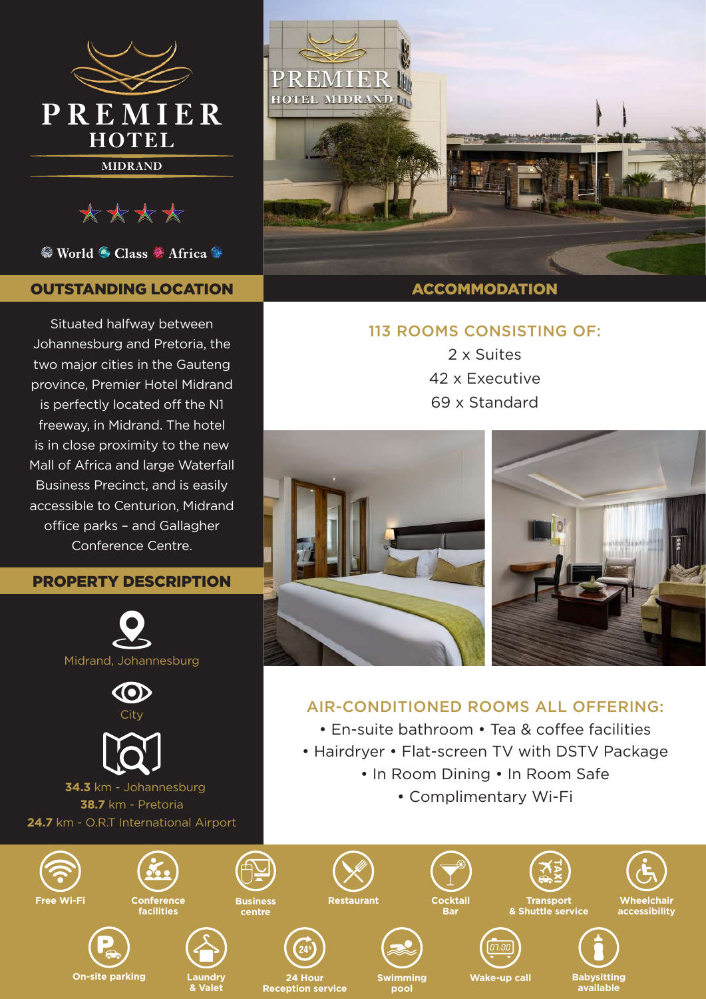

\*\*\*\*

<sup>●</sup> World ● Class ● Africa ●

# OUTSTANDING LOCATION

Situated halfway between Johannesburg and Pretoria, the two major cities in the Gauteng province, Premier Hotel Midrand is perfectly located off the N1 freeway, in Midrand. The hotel is in close proximity to the new Mall of Africa and large Waterfall Business Precinct, and is easily accessible to Centurion, Midrand office parks – and Gallagher Conference Centre.

# PROPERTY DESCRIPTION







 **34.3** km - Johannesburg **38.7** km - Pretoria **24.7** km - O.R.T International Airport



# 113 ROOMS CONSISTING OF:

2 x Suites 42 x Executive 69 x Standard



**available**

# AIR-CONDITIONED ROOMS ALL OFFERING:

- En-suite bathroom Tea & coffee facilities
- Hairdryer Flat-screen TV with DSTV Package
	- In Room Dining In Room Safe
		- Complimentary Wi-Fi



**pool**

**Reception service**

**& Valet**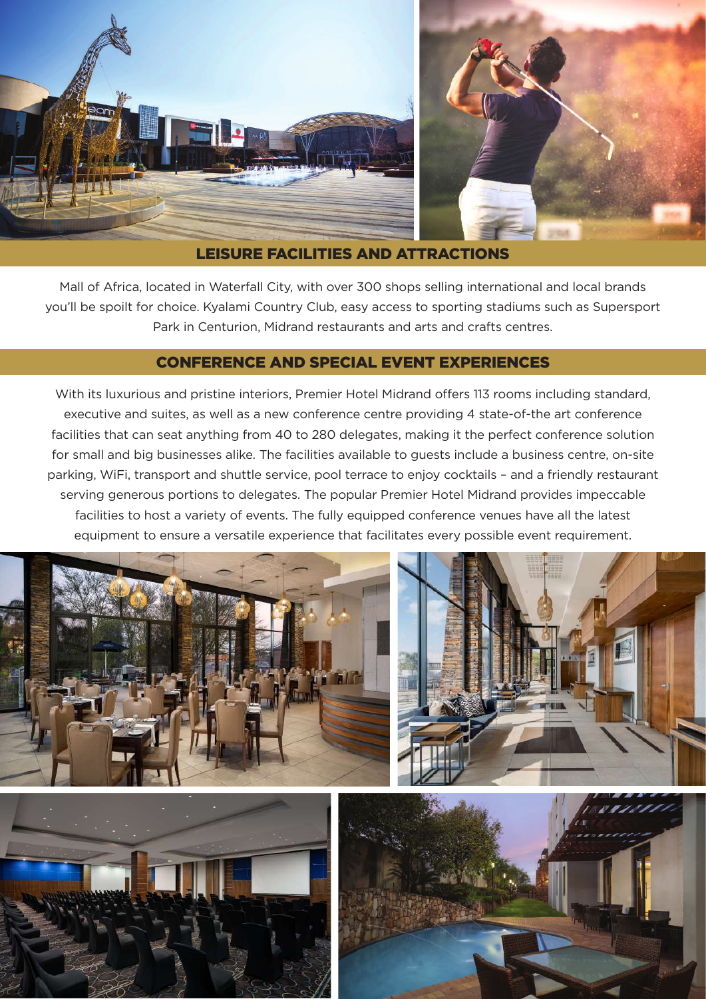

## LEISURE FACILITIES AND ATTRACTIONS

Mall of Africa, located in Waterfall City, with over 300 shops selling international and local brands you'll be spoilt for choice. Kyalami Country Club, easy access to sporting stadiums such as Supersport Park in Centurion, Midrand restaurants and arts and crafts centres.

## CONFERENCE AND SPECIAL EVENT EXPERIENCES

With its luxurious and pristine interiors, Premier Hotel Midrand offers 113 rooms including standard, executive and suites, as well as a new conference centre providing 4 state-of-the art conference facilities that can seat anything from 40 to 280 delegates, making it the perfect conference solution for small and big businesses alike. The facilities available to guests include a business centre, on-site parking, WiFi, transport and shuttle service, pool terrace to enjoy cocktails – and a friendly restaurant serving generous portions to delegates. The popular Premier Hotel Midrand provides impeccable facilities to host a variety of events. The fully equipped conference venues have all the latest equipment to ensure a versatile experience that facilitates every possible event requirement.